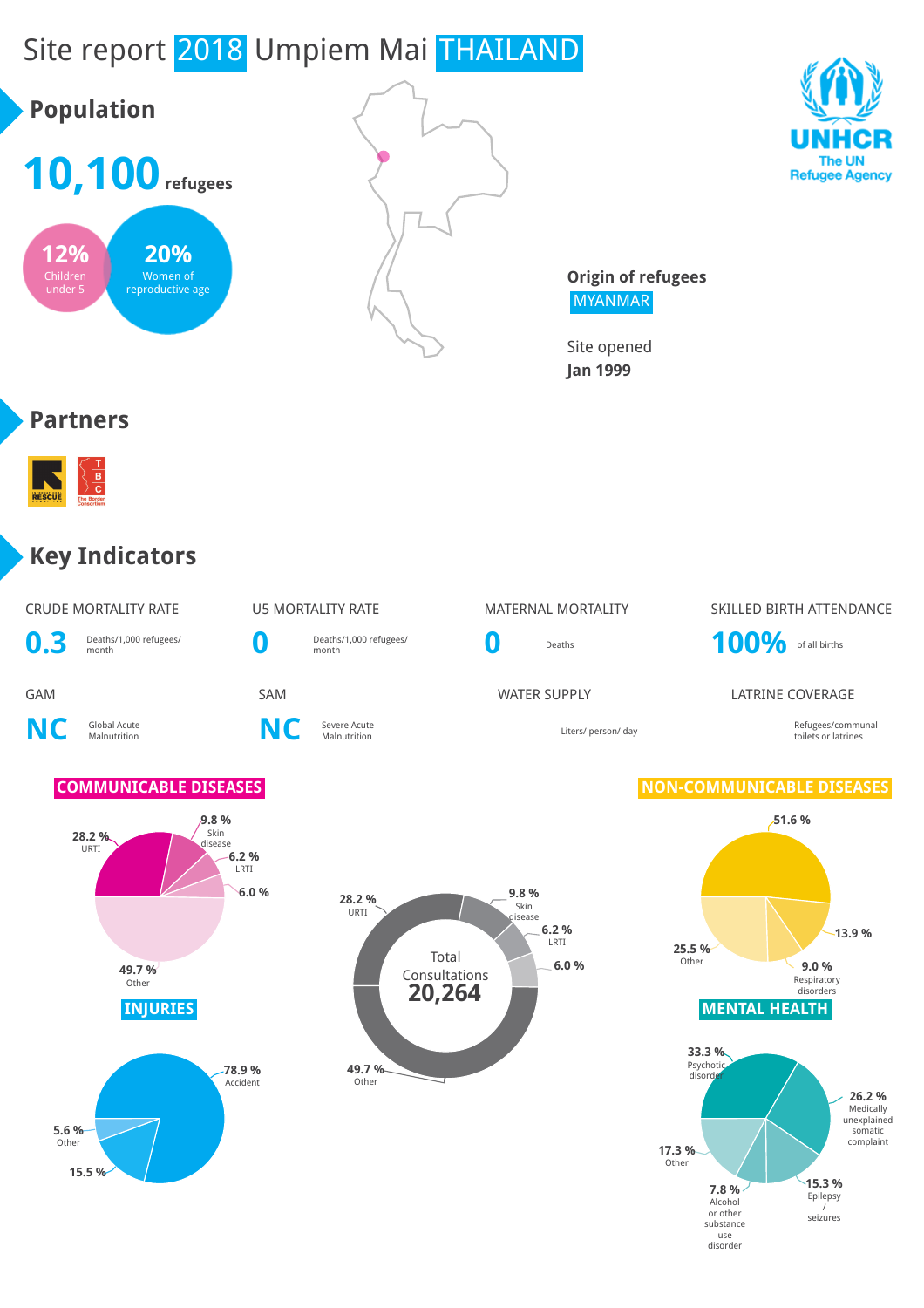# Site report 2018 Umpiem Mai THAILAND





**Origin of refugees** MYANMAR

Site opened **Jan 1999**

#### **Partners**



#### **Key Indicators**

| CRUDE MORTALITY RATE |  |
|----------------------|--|
|                      |  |

**0.3** Deaths/1,000 refugees/

Deaths/1,000 refugees/

**NC** Global Acute

**15.5 %**



**NC** Severe Acute

**0** Deaths **100%** of all births

# U5 MORTALITY RATE MATERNAL MORTALITY SKILLED BIRTH ATTENDANCE

**GAM** SAM SAM SAM WATER SUPPLY LATRINE COVERAGE

Liters/ person/ day and the communal communal communal communal communal communal communal communal communal communal communal communal communal communal communal communal communal communal communal communal communal commu toilets or latrines

#### **COMMUNICABLE DISEASES NON-COMMUNICABLE DISEASES**



disorder

**28.2 %** URTI **9.8 %** Skin disease **6.2 %** LRTI **6.0 % 49.7 % Other 78.9 %** Accident **5.6 %** Other

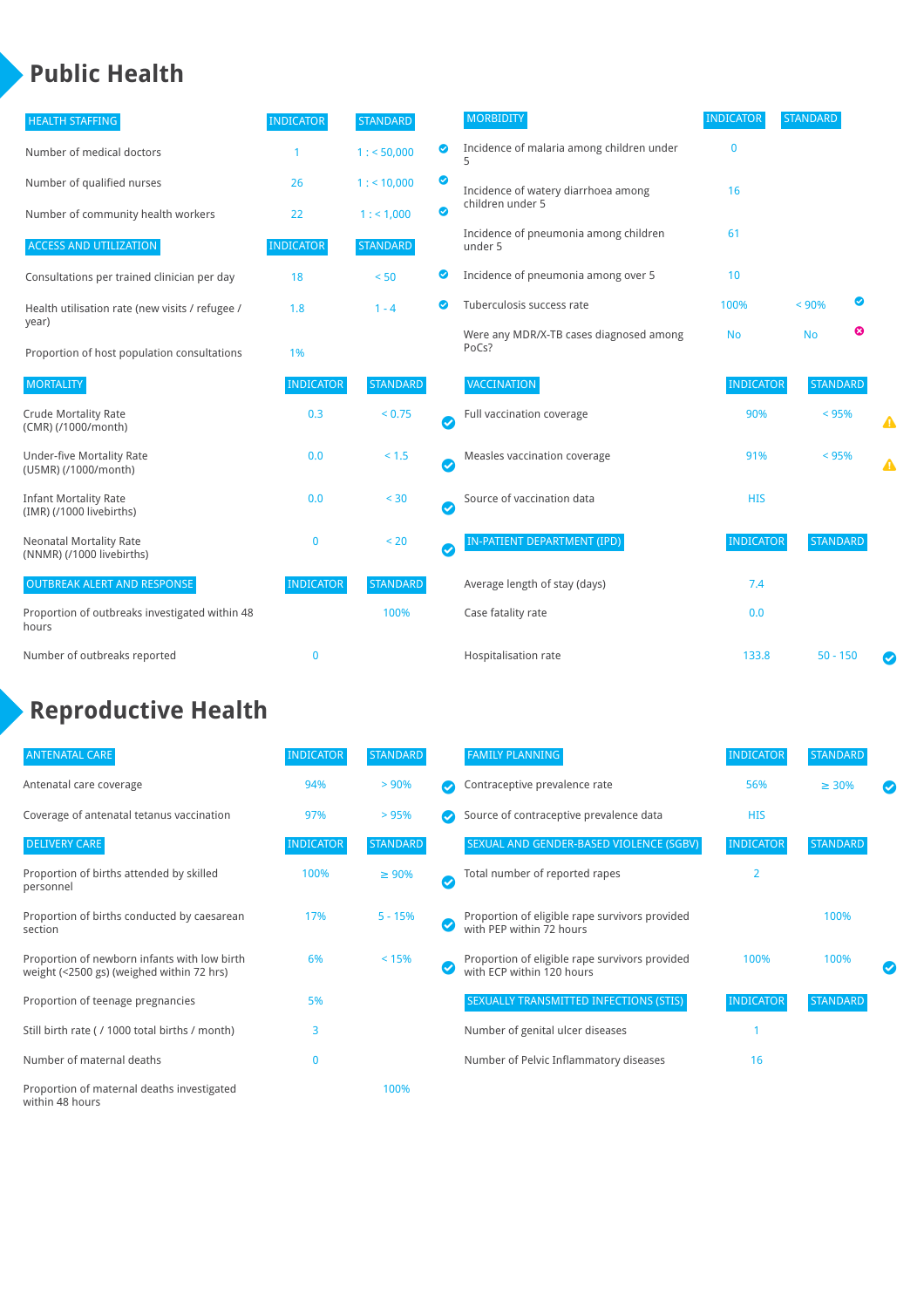## **Public Health**

| <b>HEALTH STAFFING</b>                                      | <b>INDICATOR</b> | <b>STANDARD</b> |           | <b>MORBIDITY</b>                                 | <b>INDICATOR</b> | <b>STANDARD</b> |   |   |
|-------------------------------------------------------------|------------------|-----------------|-----------|--------------------------------------------------|------------------|-----------------|---|---|
| Number of medical doctors                                   |                  | 1: 50,000       | ◎         | Incidence of malaria among children under        | 0                |                 |   |   |
| Number of qualified nurses                                  | 26               | $1:$ < 10,000   | ◙         | Incidence of watery diarrhoea among              | 16               |                 |   |   |
| Number of community health workers                          | 22               | 1: 1,000        | ◙         | children under 5                                 |                  |                 |   |   |
| <b>ACCESS AND UTILIZATION</b>                               | <b>INDICATOR</b> | <b>STANDARD</b> |           | Incidence of pneumonia among children<br>under 5 | 61               |                 |   |   |
| Consultations per trained clinician per day                 | 18               | < 50            | ◙         | Incidence of pneumonia among over 5              | 10               |                 |   |   |
| Health utilisation rate (new visits / refugee /             | 1.8              | $1 - 4$         | ◙         | Tuberculosis success rate                        | 100%             | < 90%           | ◙ |   |
| year)<br>Proportion of host population consultations        | 1%               |                 |           | Were any MDR/X-TB cases diagnosed among<br>PoCs? | <b>No</b>        | <b>No</b>       | ☺ |   |
| <b>MORTALITY</b>                                            | <b>INDICATOR</b> | <b>STANDARD</b> |           | VACCINATION                                      | <b>INDICATOR</b> | <b>STANDARD</b> |   |   |
| <b>Crude Mortality Rate</b><br>(CMR) (/1000/month)          | 0.3              | < 0.75          | Ø         | Full vaccination coverage                        | 90%              | < 95%           |   | ▲ |
| <b>Under-five Mortality Rate</b><br>(U5MR) (/1000/month)    | 0.0              | $< 1.5$         | $\bullet$ | Measles vaccination coverage                     | 91%              | < 95%           |   | ▲ |
| <b>Infant Mortality Rate</b><br>(IMR) (/1000 livebirths)    | 0.0              | < 30            | $\bullet$ | Source of vaccination data                       | <b>HIS</b>       |                 |   |   |
| <b>Neonatal Mortality Rate</b><br>(NNMR) (/1000 livebirths) | $\mathbf{0}$     | < 20            | $\bullet$ | <b>IN-PATIENT DEPARTMENT (IPD)</b>               | <b>INDICATOR</b> | <b>STANDARD</b> |   |   |
| <b>OUTBREAK ALERT AND RESPONSE</b>                          | <b>INDICATOR</b> | <b>STANDARD</b> |           | Average length of stay (days)                    | 7.4              |                 |   |   |
| Proportion of outbreaks investigated within 48<br>hours     |                  | 100%            |           | Case fatality rate                               | 0.0              |                 |   |   |
| Number of outbreaks reported                                | $\mathbf{0}$     |                 |           | Hospitalisation rate                             | 133.8            | $50 - 150$      |   |   |

## **Reproductive Health**

| <b>ANTENATAL CARE</b>                                                                     | <b>INDICATOR</b> | <b>STANDARD</b> |   | <b>FAMILY PLANNING</b>                                                      | <b>INDICATOR</b> | STANDARD        |  |
|-------------------------------------------------------------------------------------------|------------------|-----------------|---|-----------------------------------------------------------------------------|------------------|-----------------|--|
| Antenatal care coverage                                                                   | 94%              | > 90%           |   | Contraceptive prevalence rate                                               | 56%              | $\geq 30\%$     |  |
| Coverage of antenatal tetanus vaccination                                                 | 97%              | >95%            |   | Source of contraceptive prevalence data                                     | <b>HIS</b>       |                 |  |
| <b>DELIVERY CARE</b>                                                                      | <b>INDICATOR</b> | <b>STANDARD</b> |   | SEXUAL AND GENDER-BASED VIOLENCE (SGBV)                                     | <b>INDICATOR</b> | <b>STANDARD</b> |  |
| Proportion of births attended by skilled<br>personnel                                     | 100%             | $\geq 90\%$     | V | Total number of reported rapes                                              | $\overline{2}$   |                 |  |
| Proportion of births conducted by caesarean<br>section                                    | 17%              | $5 - 15%$       |   | Proportion of eligible rape survivors provided<br>with PEP within 72 hours  |                  | 100%            |  |
| Proportion of newborn infants with low birth<br>weight (<2500 gs) (weighed within 72 hrs) | 6%               | < 15%           |   | Proportion of eligible rape survivors provided<br>with ECP within 120 hours | 100%             | 100%            |  |
| Proportion of teenage pregnancies                                                         | 5%               |                 |   | SEXUALLY TRANSMITTED INFECTIONS (STIS)                                      | <b>INDICATOR</b> | <b>STANDARD</b> |  |
| Still birth rate (/ 1000 total births / month)                                            | 3                |                 |   | Number of genital ulcer diseases                                            |                  |                 |  |
| Number of maternal deaths                                                                 | $\mathbf{0}$     |                 |   | Number of Pelvic Inflammatory diseases                                      | 16               |                 |  |
| Proportion of maternal deaths investigated<br>within 48 hours                             |                  | 100%            |   |                                                                             |                  |                 |  |